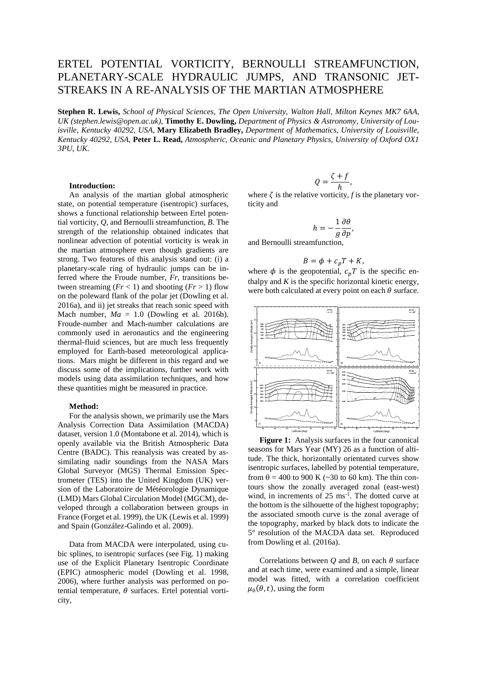# ERTEL POTENTIAL VORTICITY, BERNOULLI STREAMFUNCTION, PLANETARY-SCALE HYDRAULIC JUMPS, AND TRANSONIC JET-STREAKS IN A RE-ANALYSIS OF THE MARTIAN ATMOSPHERE

**Stephen R. Lewis,** *School of Physical Sciences, The Open University, Walton Hall, Milton Keynes MK7 6AA, UK (stephen.lewis@open.ac.uk)*, **Timothy E. Dowling,** *Department of Physics & Astronomy, University of Louisville, Kentucky 40292, USA*, **Mary Elizabeth Bradley,** *Department of Mathematics, University of Louisville, Kentucky 40292, USA*, **Peter L. Read,** *Atmospheric, Oceanic and Planetary Physics, University of Oxford OX1 3PU, UK.*

### **Introduction:**

An analysis of the martian global atmospheric state, on potential temperature (isentropic) surfaces, shows a functional relationship between Ertel potential vorticity, *Q*, and Bernoulli streamfunction, *B*. The strength of the relationship obtained indicates that nonlinear advection of potential vorticity is weak in the martian atmosphere even though gradients are strong. Two features of this analysis stand out: (i) a planetary-scale ring of hydraulic jumps can be inferred where the Froude number, *Fr*, transitions between streaming  $(Fr < 1)$  and shooting  $(Fr > 1)$  flow on the poleward flank of the polar jet (Dowling et al. 2016a), and ii) jet streaks that reach sonic speed with Mach number,  $Ma = 1.0$  (Dowling et al. 2016b). Froude-number and Mach-number calculations are commonly used in aeronautics and the engineering thermal-fluid sciences, but are much less frequently employed for Earth-based meteorological applications. Mars might be different in this regard and we discuss some of the implications, further work with models using data assimilation techniques, and how these quantities might be measured in practice.

## **Method:**

For the analysis shown, we primarily use the Mars Analysis Correction Data Assimilation (MACDA) dataset, version 1.0 (Montabone et al. 2014), which is openly available via the British Atmospheric Data Centre (BADC). This reanalysis was created by assimilating nadir soundings from the NASA Mars Global Surveyor (MGS) Thermal Emission Spectrometer (TES) into the United Kingdom (UK) version of the Laboratoire de Météorologie Dynamique (LMD) Mars Global Circulation Model (MGCM), developed through a collaboration between groups in France (Forget et al. 1999), the UK (Lewis et al. 1999) and Spain (González-Galindo et al. 2009).

Data from MACDA were interpolated, using cubic splines, to isentropic surfaces (see Fig. 1) making use of the Explicit Planetary Isentropic Coordinate (EPIC) atmospheric model (Dowling et al. 1998, 2006), where further analysis was performed on potential temperature,  $\theta$  surfaces. Ertel potential vorticity,

$$
Q=\frac{\zeta+f}{h},
$$

where  $\zeta$  is the relative vorticity, *f* is the planetary vorticity and

$$
h=-\frac{1}{g}\frac{\partial\theta}{\partial p},
$$

and Bernoulli streamfunction,

$$
B = \phi + c_p T + K,
$$

where  $\phi$  is the geopotential,  $c_pT$  is the specific enthalpy and  $K$  is the specific horizontal kinetic energy, were both calculated at every point on each  $\theta$  surface.



**Figure 1:** Analysis surfaces in the four canonical seasons for Mars Year (MY) 26 as a function of altitude. The thick, horizontally orientated curves show isentropic surfaces, labelled by potential temperature, from  $\theta$  = 400 to 900 K (~30 to 60 km). The thin contours show the zonally averaged zonal (east-west) wind, in increments of 25 ms<sup>-1</sup>. The dotted curve at the bottom is the silhouette of the highest topography; the associated smooth curve is the zonal average of the topography, marked by black dots to indicate the 5° resolution of the MACDA data set. Reproduced from Dowling et al. (2016a).

Correlations between  $Q$  and  $B$ , on each  $\theta$  surface and at each time, were examined and a simple, linear model was fitted, with a correlation coefficient  $\mu_0(\theta, t)$ , using the form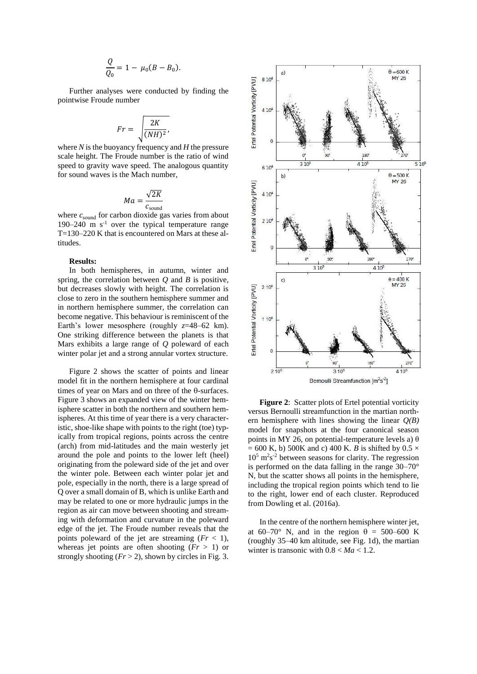$$
\frac{Q}{Q_0} = 1 - \mu_0 (B - B_0).
$$

Further analyses were conducted by finding the pointwise Froude number

$$
Fr = \sqrt{\frac{2K}{(NH)^2}},
$$

where *N* is the buoyancy frequency and *H* the pressure scale height. The Froude number is the ratio of wind speed to gravity wave speed. The analogous quantity for sound waves is the Mach number,

$$
Ma = \frac{\sqrt{2K}}{c_{\text{sound}}}
$$

where  $c_{\text{sound}}$  for carbon dioxide gas varies from about 190–240 m  $s^{-1}$  over the typical temperature range T=130–220 K that is encountered on Mars at these altitudes.

## **Results:**

In both hemispheres, in autumn, winter and spring, the correlation between *Q* and *B* is positive, but decreases slowly with height. The correlation is close to zero in the southern hemisphere summer and in northern hemisphere summer, the correlation can become negative. This behaviour is reminiscent of the Earth's lower mesosphere (roughly *z*=48–62 km). One striking difference between the planets is that Mars exhibits a large range of *Q* poleward of each winter polar jet and a strong annular vortex structure.

Figure 2 shows the scatter of points and linear model fit in the northern hemisphere at four cardinal times of year on Mars and on three of the  $\theta$ -surfaces. Figure 3 shows an expanded view of the winter hemisphere scatter in both the northern and southern hemispheres. At this time of year there is a very characteristic, shoe-like shape with points to the right (toe) typically from tropical regions, points across the centre (arch) from mid-latitudes and the main westerly jet around the pole and points to the lower left (heel) originating from the poleward side of the jet and over the winter pole. Between each winter polar jet and pole, especially in the north, there is a large spread of Q over a small domain of B, which is unlike Earth and may be related to one or more hydraulic jumps in the region as air can move between shooting and streaming with deformation and curvature in the poleward edge of the jet. The Froude number reveals that the points poleward of the jet are streaming  $(Fr < 1)$ , whereas jet points are often shooting  $(Fr > 1)$  or strongly shooting  $(Fr > 2)$ , shown by circles in Fig. 3.



**Figure 2**: Scatter plots of Ertel potential vorticity versus Bernoulli streamfunction in the martian northern hemisphere with lines showing the linear *Q(B)* model for snapshots at the four canonical season points in MY 26, on potential-temperature levels a)  $\theta$  $= 600$  K, b) 500K and c) 400 K. *B* is shifted by 0.5  $\times$  $10<sup>5</sup>$  m<sup>2</sup>s<sup>-2</sup> between seasons for clarity. The regression is performed on the data falling in the range 30–70° N, but the scatter shows all points in the hemisphere, including the tropical region points which tend to lie to the right, lower end of each cluster. Reproduced from Dowling et al. (2016a).

In the centre of the northern hemisphere winter jet, at 60–70° N, and in the region  $\theta = 500-600$  K (roughly 35–40 km altitude, see Fig. 1d), the martian winter is transonic with  $0.8 < Ma < 1.2$ .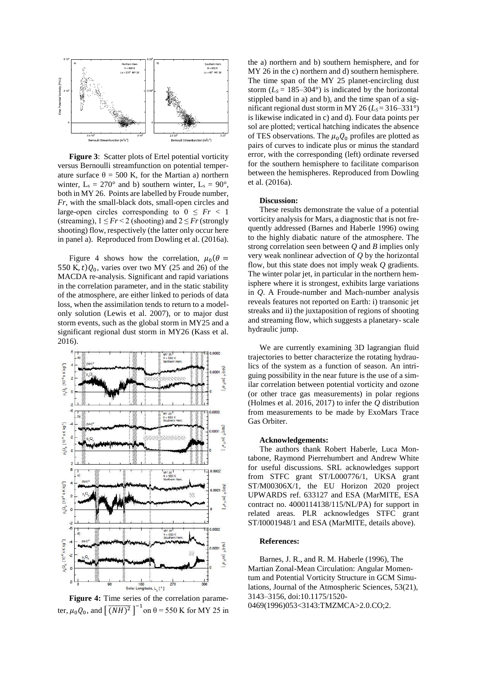

**Figure 3**: Scatter plots of Ertel potential vorticity versus Bernoulli streamfunction on potential temperature surface  $θ = 500$  K, for the Martian a) northern winter,  $L_s = 270^\circ$  and b) southern winter,  $L_s = 90^\circ$ , both in MY 26. Points are labelled by Froude number, *Fr*, with the small-black dots, small-open circles and large-open circles corresponding to  $0 \leq Fr < 1$ (streaming),  $1 \leq Fr < 2$  (shooting) and  $2 \leq Fr$  (strongly shooting) flow, respectively (the latter only occur here in panel a). Reproduced from Dowling et al. (2016a).

Figure 4 shows how the correlation,  $\mu_0(\theta =$ 550 K,  $t$ ) $Q_0$ , varies over two MY (25 and 26) of the MACDA re-analysis. Significant and rapid variations in the correlation parameter, and in the static stability of the atmosphere, are either linked to periods of data loss, when the assimilation tends to return to a modelonly solution (Lewis et al. 2007), or to major dust storm events, such as the global storm in MY25 and a significant regional dust storm in MY26 (Kass et al. 2016).



**Figure 4:** Time series of the correlation parameter,  $\mu_0 Q_0$ , and  $\left[ \overline{(NH)^2} \right]^{-1}$  on  $\theta = 550$  K for MY 25 in

the a) northern and b) southern hemisphere, and for MY 26 in the c) northern and d) southern hemisphere. The time span of the MY 25 planet-encircling dust storm  $(L<sub>S</sub> = 185-304<sup>o</sup>)$  is indicated by the horizontal stippled band in a) and b), and the time span of a significant regional dust storm in MY 26 ( $L_s = 316-331^\circ$ ) is likewise indicated in c) and d). Four data points per sol are plotted; vertical hatching indicates the absence of TES observations. The  $\mu_0 Q_0$  profiles are plotted as pairs of curves to indicate plus or minus the standard error, with the corresponding (left) ordinate reversed for the southern hemisphere to facilitate comparison between the hemispheres. Reproduced from Dowling et al. (2016a).

## **Discussion:**

These results demonstrate the value of a potential vorticity analysis for Mars, a diagnostic that is not frequently addressed (Barnes and Haberle 1996) owing to the highly diabatic nature of the atmosphere. The strong correlation seen between *Q* and *B* implies only very weak nonlinear advection of *Q* by the horizontal flow, but this state does not imply weak *Q* gradients. The winter polar jet, in particular in the northern hemisphere where it is strongest, exhibits large variations in *Q*. A Froude-number and Mach-number analysis reveals features not reported on Earth: i) transonic jet streaks and ii) the juxtaposition of regions of shooting and streaming flow, which suggests a planetary- scale hydraulic jump.

We are currently examining 3D lagrangian fluid trajectories to better characterize the rotating hydraulics of the system as a function of season. An intriguing possibility in the near future is the use of a similar correlation between potential vorticity and ozone (or other trace gas measurements) in polar regions (Holmes et al. 2016, 2017) to infer the *Q* distribution from measurements to be made by ExoMars Trace Gas Orbiter.

#### **Acknowledgements:**

The authors thank Robert Haberle, Luca Montabone, Raymond Pierrehumbert and Andrew White for useful discussions. SRL acknowledges support from STFC grant ST/L000776/1, UKSA grant ST/M00306X/1, the EU Horizon 2020 project UPWARDS ref. 633127 and ESA (MarMITE, ESA contract no. 4000114138/115/NL/PA) for support in related areas. PLR acknowledges STFC grant ST/I0001948/1 and ESA (MarMITE, details above).

## **References:**

Barnes, J. R., and R. M. Haberle (1996), The Martian Zonal-Mean Circulation: Angular Momentum and Potential Vorticity Structure in GCM Simulations, Journal of the Atmospheric Sciences, 53(21), 3143–3156, doi:10.1175/1520- 0469(1996)053<3143:TMZMCA>2.0.CO;2.